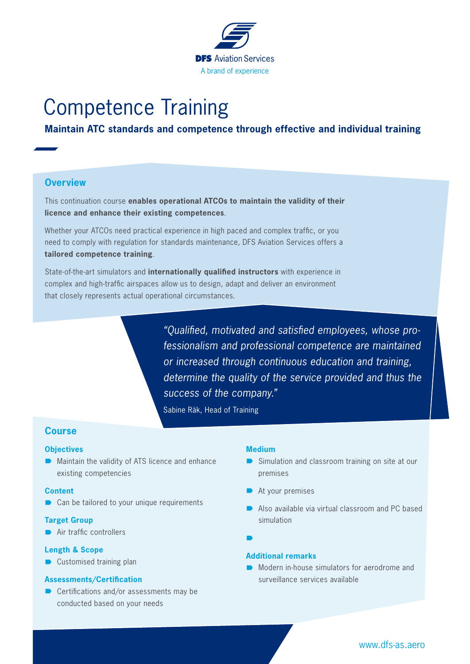

# Competence Training

# **Maintain ATC standards and competence through effective and individual training**

### **Overview**

This continuation course **enables operational ATCOs to maintain the validity of their licence and enhance their existing competences**.

Whether your ATCOs need practical experience in high paced and complex traffic, or you need to comply with regulation for standards maintenance, DFS Aviation Services offers a **tailored competence training**.

State-of-the-art simulators and **internationally qualified instructors** with experience in complex and high-traffic airspaces allow us to design, adapt and deliver an environment that closely represents actual operational circumstances.

> *"Qualified, motivated and satisfied employees, whose professionalism and professional competence are maintained or increased through continuous education and training, determine the quality of the service provided and thus the success of the company."*

Sabine Räk, Head of Training

#### **Course**

#### **Objectives**

 $\blacksquare$  Maintain the validity of ATS licence and enhance existing competencies

#### **Content**

 $\blacksquare$  Can be tailored to your unique requirements

#### **Target Group**

 $\rightarrow$  Air traffic controllers

#### **Length & Scope**

 $\blacksquare$  Customised training plan

#### **Assessments/Certification**

 $\blacksquare$  Certifications and/or assessments may be conducted based on your needs

#### **Medium**

- $\triangleright$  Simulation and classroom training on site at our premises
- $\rightarrow$  At your premises
- $\blacksquare$  Also available via virtual classroom and PC based simulation

 $\blacksquare$ 

#### **Additional remarks**

´ Modern in-house simulators for aerodrome and surveillance services available

## www.dfs-as.aero